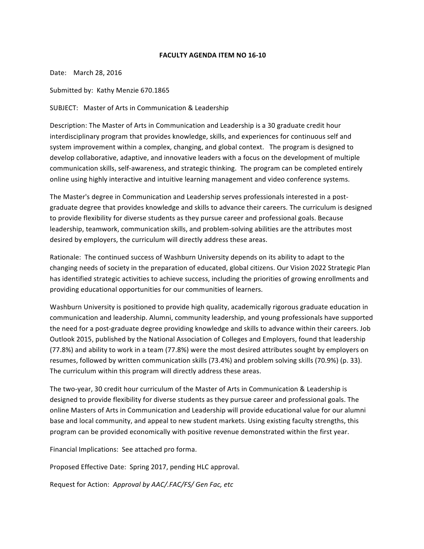## **FACULTY AGENDA ITEM NO 16-10**

Date: March 28, 2016

Submitted by: Kathy Menzie 670.1865

SUBJECT: Master of Arts in Communication & Leadership

Description: The Master of Arts in Communication and Leadership is a 30 graduate credit hour interdisciplinary program that provides knowledge, skills, and experiences for continuous self and system improvement within a complex, changing, and global context. The program is designed to develop collaborative, adaptive, and innovative leaders with a focus on the development of multiple communication skills, self-awareness, and strategic thinking. The program can be completed entirely online using highly interactive and intuitive learning management and video conference systems.

The Master's degree in Communication and Leadership serves professionals interested in a postgraduate degree that provides knowledge and skills to advance their careers. The curriculum is designed to provide flexibility for diverse students as they pursue career and professional goals. Because leadership, teamwork, communication skills, and problem-solving abilities are the attributes most desired by employers, the curriculum will directly address these areas.

Rationale: The continued success of Washburn University depends on its ability to adapt to the changing needs of society in the preparation of educated, global citizens. Our Vision 2022 Strategic Plan has identified strategic activities to achieve success, including the priorities of growing enrollments and providing educational opportunities for our communities of learners.

Washburn University is positioned to provide high quality, academically rigorous graduate education in communication and leadership. Alumni, community leadership, and young professionals have supported the need for a post-graduate degree providing knowledge and skills to advance within their careers. Job Outlook 2015, published by the National Association of Colleges and Employers, found that leadership (77.8%) and ability to work in a team (77.8%) were the most desired attributes sought by employers on resumes, followed by written communication skills (73.4%) and problem solving skills (70.9%) (p. 33). The curriculum within this program will directly address these areas.

The two-year, 30 credit hour curriculum of the Master of Arts in Communication & Leadership is designed to provide flexibility for diverse students as they pursue career and professional goals. The online Masters of Arts in Communication and Leadership will provide educational value for our alumni base and local community, and appeal to new student markets. Using existing faculty strengths, this program can be provided economically with positive revenue demonstrated within the first year.

Financial Implications: See attached pro forma.

Proposed Effective Date: Spring 2017, pending HLC approval.

Request for Action: Approval by AAC/.FAC/FS/ Gen Fac, etc